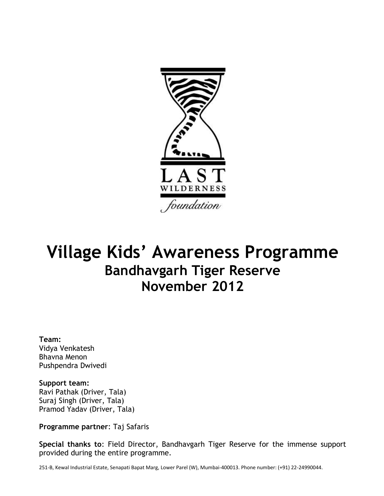

## **Village Kids' Awareness Programme Bandhavgarh Tiger Reserve November 2012**

**Team:**  Vidya Venkatesh Bhavna Menon Pushpendra Dwivedi

**Support team:** Ravi Pathak (Driver, Tala) Suraj Singh (Driver, Tala) Pramod Yadav (Driver, Tala)

**Programme partner**: Taj Safaris

**Special thanks to**: Field Director, Bandhavgarh Tiger Reserve for the immense support provided during the entire programme.

251-B, Kewal Industrial Estate, Senapati Bapat Marg, Lower Parel (W), Mumbai-400013. Phone number: (+91) 22-24990044.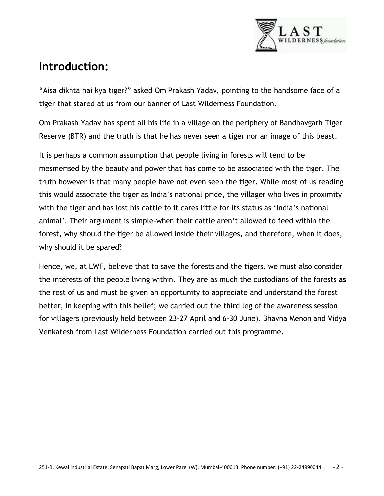

## **Introduction:**

"Aisa dikhta hai kya tiger?" asked Om Prakash Yadav, pointing to the handsome face of a tiger that stared at us from our banner of Last Wilderness Foundation.

Om Prakash Yadav has spent all his life in a village on the periphery of Bandhavgarh Tiger Reserve (BTR) and the truth is that he has never seen a tiger nor an image of this beast.

It is perhaps a common assumption that people living in forests will tend to be mesmerised by the beauty and power that has come to be associated with the tiger. The truth however is that many people have not even seen the tiger. While most of us reading this would associate the tiger as India"s national pride, the villager who lives in proximity with the tiger and has lost his cattle to it cares little for its status as "India"s national animal". Their argument is simple-when their cattle aren"t allowed to feed within the forest, why should the tiger be allowed inside their villages, and therefore, when it does, why should it be spared?

Hence, we, at LWF, believe that to save the forests and the tigers, we must also consider the interests of the people living within. They are as much the custodians of the forests **as**  the rest of us and must be given an opportunity to appreciate and understand the forest better, In keeping with this belief; we carried out the third leg of the awareness session for villagers (previously held between 23-27 April and 6-30 June). Bhavna Menon and Vidya Venkatesh from Last Wilderness Foundation carried out this programme.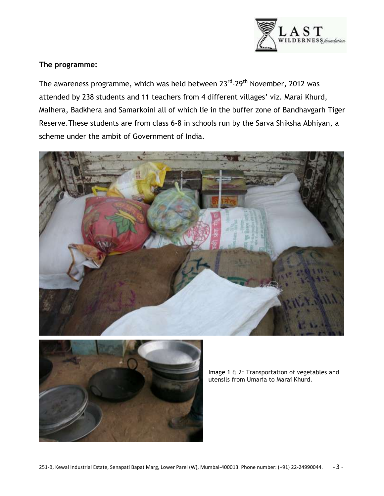

## **The programme:**

The awareness programme, which was held between 23<sup>rd</sup>-29<sup>th</sup> November, 2012 was attended by 238 students and 11 teachers from 4 different villages' viz. Marai Khurd, Malhera, Badkhera and Samarkoini all of which lie in the buffer zone of Bandhavgarh Tiger Reserve.These students are from class 6-8 in schools run by the Sarva Shiksha Abhiyan, a scheme under the ambit of Government of India.





Image 1 & 2: Transportation of vegetables and utensils from Umaria to Marai Khurd.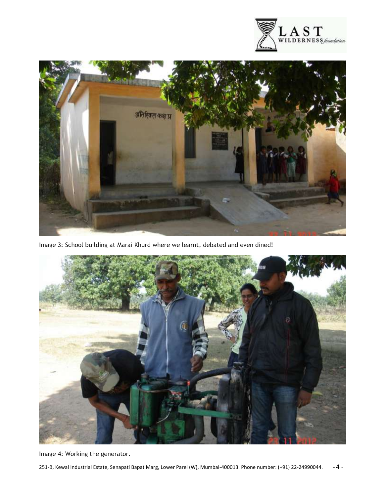



Image 3: School building at Marai Khurd where we learnt, debated and even dined!



Image 4: Working the generator.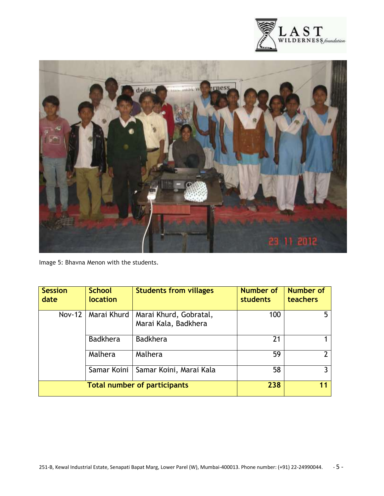



Image 5: Bhavna Menon with the students.

| <b>Session</b><br>date              | <b>School</b><br>location | <b>Students from villages</b>                  | <b>Number of</b><br>students | <b>Number of</b><br>teachers |
|-------------------------------------|---------------------------|------------------------------------------------|------------------------------|------------------------------|
| $Nov-12$                            | Marai Khurd               | Marai Khurd, Gobratal,<br>Marai Kala, Badkhera | 100                          |                              |
|                                     | <b>Badkhera</b>           | <b>Badkhera</b>                                | 21                           |                              |
|                                     | Malhera                   | Malhera                                        | 59                           |                              |
|                                     | Samar Koini               | Samar Koini, Marai Kala                        | 58                           |                              |
| <b>Total number of participants</b> |                           |                                                | 238                          | 11                           |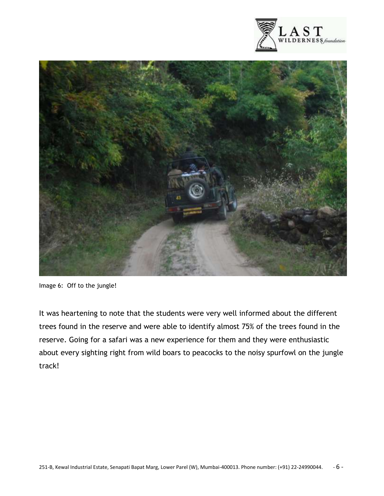



Image 6: Off to the jungle!

It was heartening to note that the students were very well informed about the different trees found in the reserve and were able to identify almost 75% of the trees found in the reserve. Going for a safari was a new experience for them and they were enthusiastic about every sighting right from wild boars to peacocks to the noisy spurfowl on the jungle track!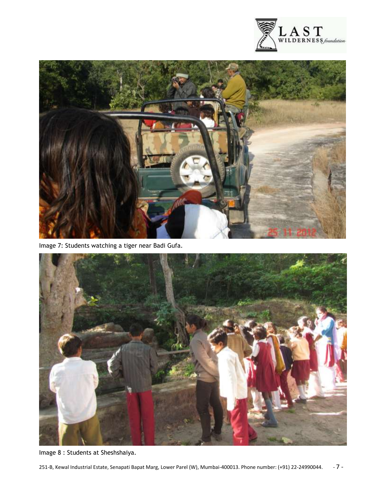



Image 7: Students watching a tiger near Badi Gufa.



Image 8 : Students at Sheshshaiya.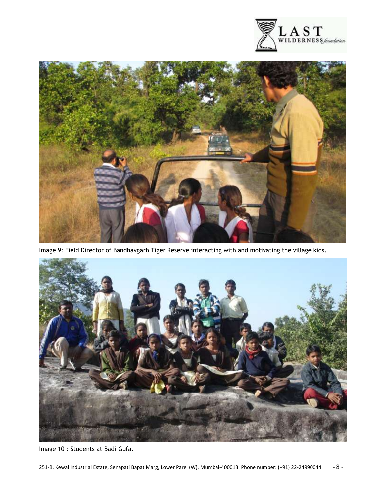



Image 9: Field Director of Bandhavgarh Tiger Reserve interacting with and motivating the village kids.



Image 10 : Students at Badi Gufa.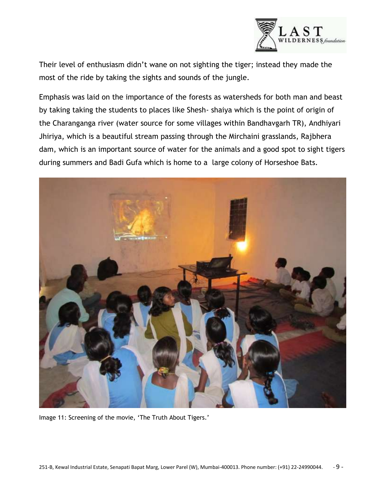

Their level of enthusiasm didn"t wane on not sighting the tiger; instead they made the most of the ride by taking the sights and sounds of the jungle.

Emphasis was laid on the importance of the forests as watersheds for both man and beast by taking taking the students to places like Shesh- shaiya which is the point of origin of the Charanganga river (water source for some villages within Bandhavgarh TR), Andhiyari Jhiriya, which is a beautiful stream passing through the Mirchaini grasslands, Rajbhera dam, which is an important source of water for the animals and a good spot to sight tigers during summers and Badi Gufa which is home to a large colony of Horseshoe Bats.



Image 11: Screening of the movie, 'The Truth About Tigers.'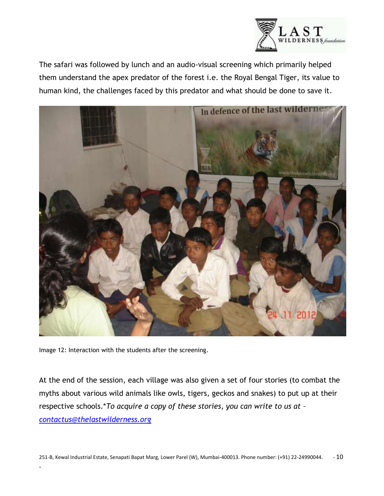

The safari was followed by lunch and an audio-visual screening which primarily helped them understand the apex predator of the forest i.e. the Royal Bengal Tiger, its value to human kind, the challenges faced by this predator and what should be done to save it.



Image 12: Interaction with the students after the screening.

-

At the end of the session, each village was also given a set of four stories (to combat the myths about various wild animals like owls, tigers, geckos and snakes) to put up at their respective schools.\**To acquire a copy of these stories, you can write to us at – [contactus@thelastwilderness.org](mailto:contactus@thelastwilderness.org)*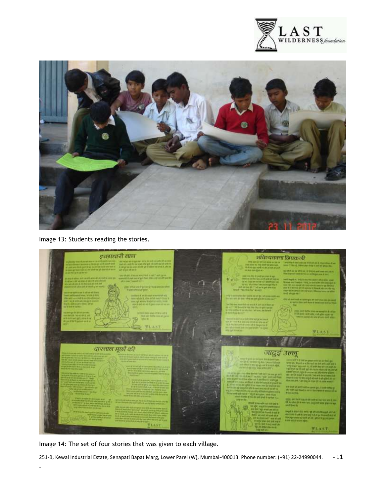



Image 13: Students reading the stories.



Image 14: The set of four stories that was given to each village.

-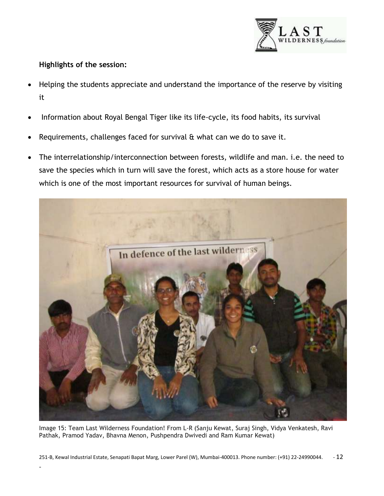

## **Highlights of the session:**

-

- Helping the students appreciate and understand the importance of the reserve by visiting it
- Information about Royal Bengal Tiger like its life-cycle, its food habits, its survival
- Requirements, challenges faced for survival & what can we do to save it.
- The interrelationship/interconnection between forests, wildlife and man. i.e. the need to save the species which in turn will save the forest, which acts as a store house for water which is one of the most important resources for survival of human beings.



Image 15: Team Last Wilderness Foundation! From L-R (Sanju Kewat, Suraj Singh, Vidya Venkatesh, Ravi Pathak, Pramod Yadav, Bhavna Menon, Pushpendra Dwivedi and Ram Kumar Kewat)